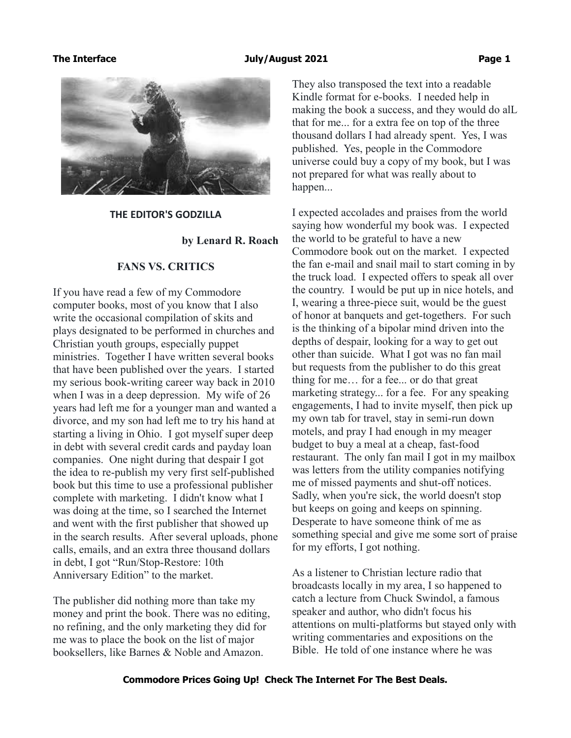### **The Interface July/August 2021 Page 1**



**THE EDITOR'S GODZILLA**

**by Lenard R. Roach**

## **FANS VS. CRITICS**

If you have read a few of my Commodore computer books, most of you know that I also write the occasional compilation of skits and plays designated to be performed in churches and Christian youth groups, especially puppet ministries. Together I have written several books that have been published over the years. I started my serious book-writing career way back in 2010 when I was in a deep depression. My wife of 26 years had left me for a younger man and wanted a divorce, and my son had left me to try his hand at starting a living in Ohio. I got myself super deep in debt with several credit cards and payday loan companies. One night during that despair I got the idea to re-publish my very first self-published book but this time to use a professional publisher complete with marketing. I didn't know what I was doing at the time, so I searched the Internet and went with the first publisher that showed up in the search results. After several uploads, phone calls, emails, and an extra three thousand dollars in debt, I got "Run/Stop-Restore: 10th Anniversary Edition" to the market.

The publisher did nothing more than take my money and print the book. There was no editing, no refining, and the only marketing they did for me was to place the book on the list of major booksellers, like Barnes & Noble and Amazon.

They also transposed the text into a readable Kindle format for e-books. I needed help in making the book a success, and they would do alL that for me... for a extra fee on top of the three thousand dollars I had already spent. Yes, I was published. Yes, people in the Commodore universe could buy a copy of my book, but I was not prepared for what was really about to happen...

I expected accolades and praises from the world saying how wonderful my book was. I expected the world to be grateful to have a new Commodore book out on the market. I expected the fan e-mail and snail mail to start coming in by the truck load. I expected offers to speak all over the country. I would be put up in nice hotels, and I, wearing a three-piece suit, would be the guest of honor at banquets and get-togethers. For such is the thinking of a bipolar mind driven into the depths of despair, looking for a way to get out other than suicide. What I got was no fan mail but requests from the publisher to do this great thing for me… for a fee... or do that great marketing strategy... for a fee. For any speaking engagements, I had to invite myself, then pick up my own tab for travel, stay in semi-run down motels, and pray I had enough in my meager budget to buy a meal at a cheap, fast-food restaurant. The only fan mail I got in my mailbox was letters from the utility companies notifying me of missed payments and shut-off notices. Sadly, when you're sick, the world doesn't stop but keeps on going and keeps on spinning. Desperate to have someone think of me as something special and give me some sort of praise for my efforts, I got nothing.

As a listener to Christian lecture radio that broadcasts locally in my area, I so happened to catch a lecture from Chuck Swindol, a famous speaker and author, who didn't focus his attentions on multi-platforms but stayed only with writing commentaries and expositions on the Bible. He told of one instance where he was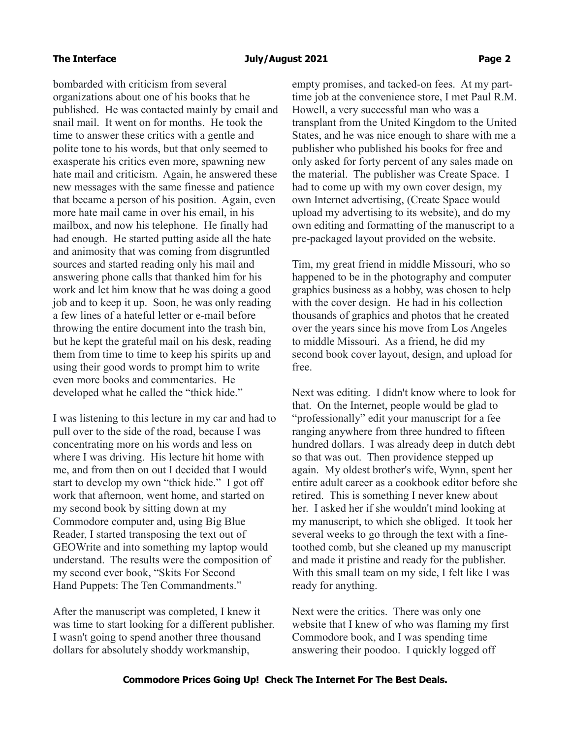bombarded with criticism from several organizations about one of his books that he published. He was contacted mainly by email and snail mail. It went on for months. He took the time to answer these critics with a gentle and polite tone to his words, but that only seemed to exasperate his critics even more, spawning new hate mail and criticism. Again, he answered these new messages with the same finesse and patience that became a person of his position. Again, even more hate mail came in over his email, in his mailbox, and now his telephone. He finally had had enough. He started putting aside all the hate and animosity that was coming from disgruntled sources and started reading only his mail and answering phone calls that thanked him for his work and let him know that he was doing a good job and to keep it up. Soon, he was only reading a few lines of a hateful letter or e-mail before throwing the entire document into the trash bin, but he kept the grateful mail on his desk, reading them from time to time to keep his spirits up and using their good words to prompt him to write even more books and commentaries. He developed what he called the "thick hide."

I was listening to this lecture in my car and had to pull over to the side of the road, because I was concentrating more on his words and less on where I was driving. His lecture hit home with me, and from then on out I decided that I would start to develop my own "thick hide." I got off work that afternoon, went home, and started on my second book by sitting down at my Commodore computer and, using Big Blue Reader, I started transposing the text out of GEOWrite and into something my laptop would understand. The results were the composition of my second ever book, "Skits For Second Hand Puppets: The Ten Commandments."

After the manuscript was completed, I knew it was time to start looking for a different publisher. I wasn't going to spend another three thousand dollars for absolutely shoddy workmanship,

empty promises, and tacked-on fees. At my parttime job at the convenience store, I met Paul R.M. Howell, a very successful man who was a transplant from the United Kingdom to the United States, and he was nice enough to share with me a publisher who published his books for free and only asked for forty percent of any sales made on the material. The publisher was Create Space. I had to come up with my own cover design, my own Internet advertising, (Create Space would upload my advertising to its website), and do my own editing and formatting of the manuscript to a pre-packaged layout provided on the website.

Tim, my great friend in middle Missouri, who so happened to be in the photography and computer graphics business as a hobby, was chosen to help with the cover design. He had in his collection thousands of graphics and photos that he created over the years since his move from Los Angeles to middle Missouri. As a friend, he did my second book cover layout, design, and upload for free.

Next was editing. I didn't know where to look for that. On the Internet, people would be glad to "professionally" edit your manuscript for a fee ranging anywhere from three hundred to fifteen hundred dollars. I was already deep in dutch debt so that was out. Then providence stepped up again. My oldest brother's wife, Wynn, spent her entire adult career as a cookbook editor before she retired. This is something I never knew about her. I asked her if she wouldn't mind looking at my manuscript, to which she obliged. It took her several weeks to go through the text with a finetoothed comb, but she cleaned up my manuscript and made it pristine and ready for the publisher. With this small team on my side, I felt like I was ready for anything.

Next were the critics. There was only one website that I knew of who was flaming my first Commodore book, and I was spending time answering their poodoo. I quickly logged off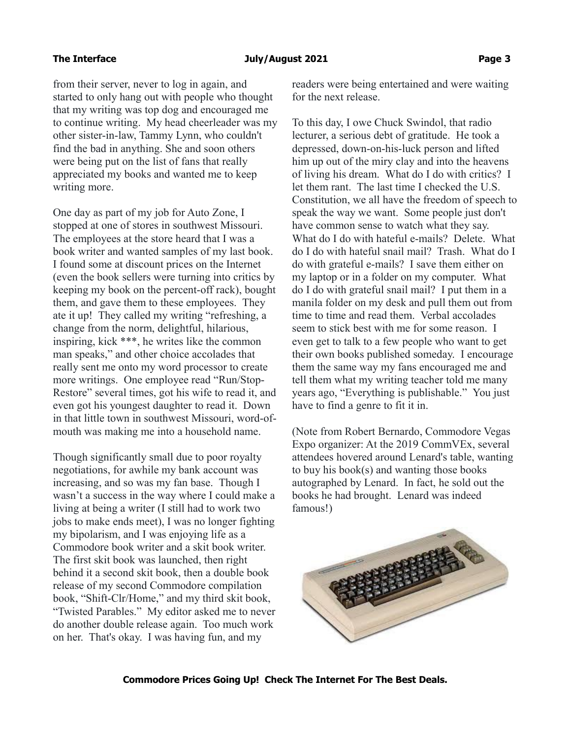from their server, never to log in again, and started to only hang out with people who thought that my writing was top dog and encouraged me to continue writing. My head cheerleader was my other sister-in-law, Tammy Lynn, who couldn't find the bad in anything. She and soon others were being put on the list of fans that really appreciated my books and wanted me to keep writing more.

One day as part of my job for Auto Zone, I stopped at one of stores in southwest Missouri. The employees at the store heard that I was a book writer and wanted samples of my last book. I found some at discount prices on the Internet (even the book sellers were turning into critics by keeping my book on the percent-off rack), bought them, and gave them to these employees. They ate it up! They called my writing "refreshing, a change from the norm, delightful, hilarious, inspiring, kick \*\*\*, he writes like the common man speaks," and other choice accolades that really sent me onto my word processor to create more writings. One employee read "Run/Stop-Restore" several times, got his wife to read it, and even got his youngest daughter to read it. Down in that little town in southwest Missouri, word-ofmouth was making me into a household name.

Though significantly small due to poor royalty negotiations, for awhile my bank account was increasing, and so was my fan base. Though I wasn't a success in the way where I could make a living at being a writer (I still had to work two jobs to make ends meet), I was no longer fighting my bipolarism, and I was enjoying life as a Commodore book writer and a skit book writer. The first skit book was launched, then right behind it a second skit book, then a double book release of my second Commodore compilation book, "Shift-Clr/Home," and my third skit book, "Twisted Parables." My editor asked me to never do another double release again. Too much work on her. That's okay. I was having fun, and my

readers were being entertained and were waiting for the next release.

To this day, I owe Chuck Swindol, that radio lecturer, a serious debt of gratitude. He took a depressed, down-on-his-luck person and lifted him up out of the miry clay and into the heavens of living his dream. What do I do with critics? I let them rant. The last time I checked the U.S. Constitution, we all have the freedom of speech to speak the way we want. Some people just don't have common sense to watch what they say. What do I do with hateful e-mails? Delete. What do I do with hateful snail mail? Trash. What do I do with grateful e-mails? I save them either on my laptop or in a folder on my computer. What do I do with grateful snail mail? I put them in a manila folder on my desk and pull them out from time to time and read them. Verbal accolades seem to stick best with me for some reason. I even get to talk to a few people who want to get their own books published someday. I encourage them the same way my fans encouraged me and tell them what my writing teacher told me many years ago, "Everything is publishable." You just have to find a genre to fit it in.

(Note from Robert Bernardo, Commodore Vegas Expo organizer: At the 2019 CommVEx, several attendees hovered around Lenard's table, wanting to buy his book(s) and wanting those books autographed by Lenard. In fact, he sold out the books he had brought. Lenard was indeed famous!)

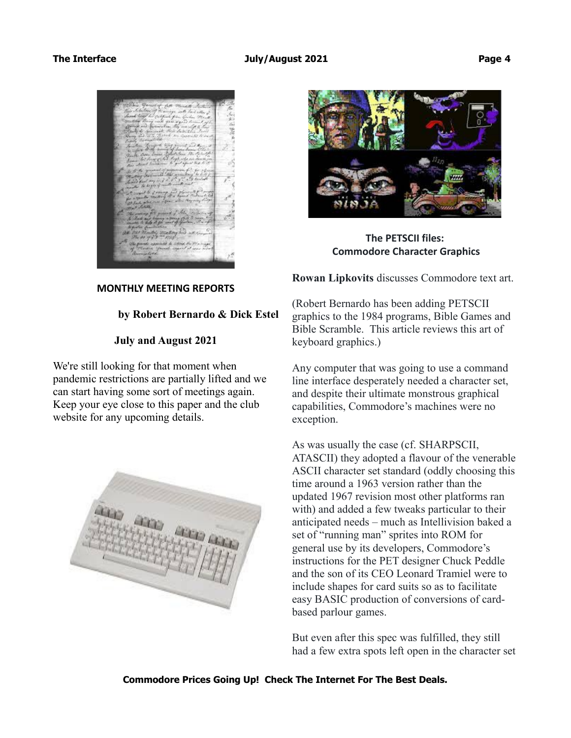



**The PETSCII files: Commodore Character Graphics**

**Rowan Lipkovits** discusses Commodore text art.

# **by Robert Bernardo & Dick Estel**

**July and August 2021**

**MONTHLY MEETING REPORTS**

We're still looking for that moment when pandemic restrictions are partially lifted and we can start having some sort of meetings again. Keep your eye close to this paper and the club website for any upcoming details.



(Robert Bernardo has been adding PETSCII graphics to the 1984 programs, Bible Games and Bible Scramble. This article reviews this art of keyboard graphics.)

Any computer that was going to use a command line interface desperately needed a character set, and despite their ultimate monstrous graphical capabilities, Commodore's machines were no exception.

As was usually the case (cf. SHARPSCII, ATASCII) they adopted a flavour of the venerable ASCII character set standard (oddly choosing this time around a 1963 version rather than the updated 1967 revision most other platforms ran with) and added a few tweaks particular to their anticipated needs – much as Intellivision baked a set of "running man" sprites into ROM for general use by its developers, Commodore's instructions for the PET designer Chuck Peddle and the son of its CEO Leonard Tramiel were to include shapes for card suits so as to facilitate easy BASIC production of conversions of cardbased parlour games.

But even after this spec was fulfilled, they still had a few extra spots left open in the character set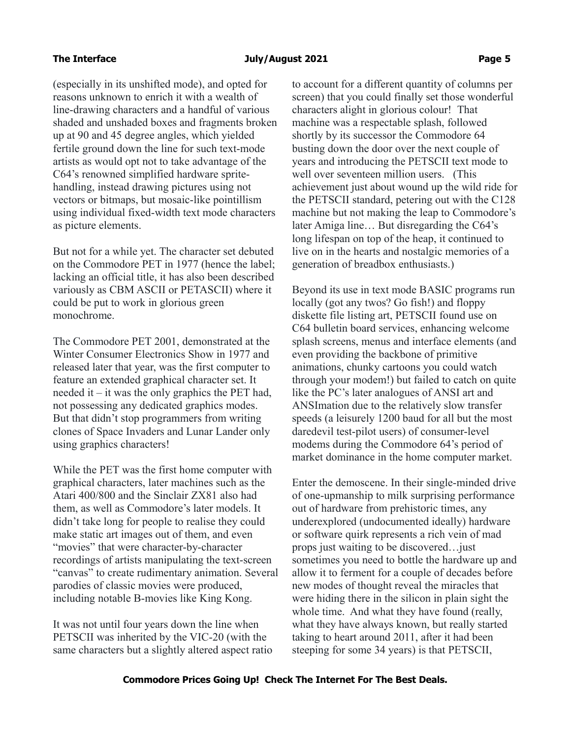(especially in its unshifted mode), and opted for reasons unknown to enrich it with a wealth of line-drawing characters and a handful of various shaded and unshaded boxes and fragments broken up at 90 and 45 degree angles, which yielded fertile ground down the line for such text-mode artists as would opt not to take advantage of the C64's renowned simplified hardware spritehandling, instead drawing pictures using not vectors or bitmaps, but mosaic-like pointillism using individual fixed-width text mode characters as picture elements.

But not for a while yet. The character set debuted on the Commodore PET in 1977 (hence the label; lacking an official title, it has also been described variously as CBM ASCII or PETASCII) where it could be put to work in glorious green monochrome.

The Commodore PET 2001, demonstrated at the Winter Consumer Electronics Show in 1977 and released later that year, was the first computer to feature an extended graphical character set. It needed it  $-$  it was the only graphics the PET had, not possessing any dedicated graphics modes. But that didn't stop programmers from writing clones of Space Invaders and Lunar Lander only using graphics characters!

While the PET was the first home computer with graphical characters, later machines such as the Atari 400/800 and the Sinclair ZX81 also had them, as well as Commodore's later models. It didn't take long for people to realise they could make static art images out of them, and even "movies" that were character-by-character recordings of artists manipulating the text-screen "canvas" to create rudimentary animation. Several parodies of classic movies were produced, including notable B-movies like King Kong.

It was not until four years down the line when PETSCII was inherited by the VIC-20 (with the same characters but a slightly altered aspect ratio to account for a different quantity of columns per screen) that you could finally set those wonderful characters alight in glorious colour! That machine was a respectable splash, followed shortly by its successor the Commodore 64 busting down the door over the next couple of years and introducing the PETSCII text mode to well over seventeen million users. (This achievement just about wound up the wild ride for the PETSCII standard, petering out with the C128 machine but not making the leap to Commodore's later Amiga line… But disregarding the C64's long lifespan on top of the heap, it continued to live on in the hearts and nostalgic memories of a generation of breadbox enthusiasts.)

Beyond its use in text mode BASIC programs run locally (got any twos? Go fish!) and floppy diskette file listing art, PETSCII found use on C64 bulletin board services, enhancing welcome splash screens, menus and interface elements (and even providing the backbone of primitive animations, chunky cartoons you could watch through your modem!) but failed to catch on quite like the PC's later analogues of ANSI art and ANSImation due to the relatively slow transfer speeds (a leisurely 1200 baud for all but the most daredevil test-pilot users) of consumer-level modems during the Commodore 64's period of market dominance in the home computer market.

Enter the demoscene. In their single-minded drive of one-upmanship to milk surprising performance out of hardware from prehistoric times, any underexplored (undocumented ideally) hardware or software quirk represents a rich vein of mad props just waiting to be discovered…just sometimes you need to bottle the hardware up and allow it to ferment for a couple of decades before new modes of thought reveal the miracles that were hiding there in the silicon in plain sight the whole time. And what they have found (really, what they have always known, but really started taking to heart around 2011, after it had been steeping for some 34 years) is that PETSCII,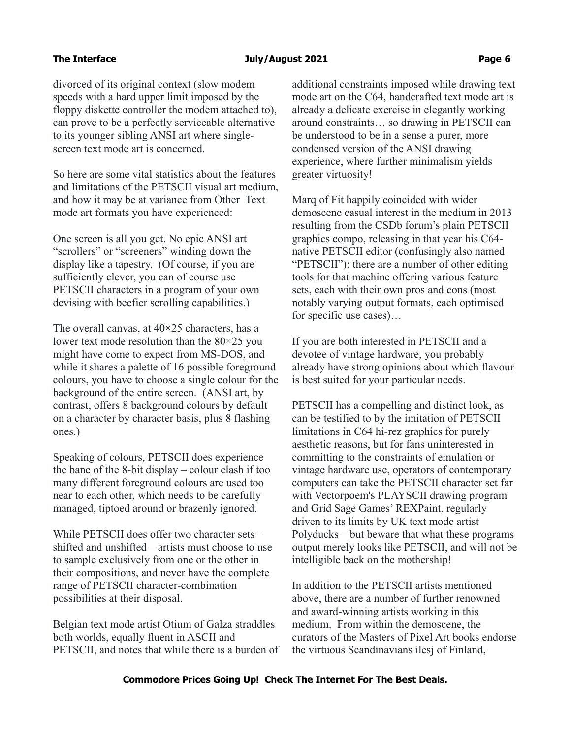### The Interface **Contract Contract 2021 Page 6** and Duly/August 2021

divorced of its original context (slow modem speeds with a hard upper limit imposed by the floppy diskette controller the modem attached to), can prove to be a perfectly serviceable alternative to its younger sibling ANSI art where singlescreen text mode art is concerned.

So here are some vital statistics about the features and limitations of the PETSCII visual art medium, and how it may be at variance from Other Text mode art formats you have experienced:

One screen is all you get. No epic ANSI art "scrollers" or "screeners" winding down the display like a tapestry. (Of course, if you are sufficiently clever, you can of course use PETSCII characters in a program of your own devising with beefier scrolling capabilities.)

The overall canvas, at  $40\times25$  characters, has a lower text mode resolution than the 80×25 you might have come to expect from MS-DOS, and while it shares a palette of 16 possible foreground colours, you have to choose a single colour for the background of the entire screen. (ANSI art, by contrast, offers 8 background colours by default on a character by character basis, plus 8 flashing ones.)

Speaking of colours, PETSCII does experience the bane of the 8-bit display – colour clash if too many different foreground colours are used too near to each other, which needs to be carefully managed, tiptoed around or brazenly ignored.

While PETSCII does offer two character sets – shifted and unshifted – artists must choose to use to sample exclusively from one or the other in their compositions, and never have the complete range of PETSCII character-combination possibilities at their disposal.

Belgian text mode artist Otium of Galza straddles both worlds, equally fluent in ASCII and PETSCII, and notes that while there is a burden of additional constraints imposed while drawing text mode art on the C64, handcrafted text mode art is already a delicate exercise in elegantly working around constraints… so drawing in PETSCII can be understood to be in a sense a purer, more condensed version of the ANSI drawing experience, where further minimalism yields greater virtuosity!

Marq of Fit happily coincided with wider demoscene casual interest in the medium in 2013 resulting from the CSDb forum's plain PETSCII graphics compo, releasing in that year his C64 native PETSCII editor (confusingly also named "PETSCII"); there are a number of other editing tools for that machine offering various feature sets, each with their own pros and cons (most notably varying output formats, each optimised for specific use cases)…

If you are both interested in PETSCII and a devotee of vintage hardware, you probably already have strong opinions about which flavour is best suited for your particular needs.

PETSCII has a compelling and distinct look, as can be testified to by the imitation of PETSCII limitations in C64 hi-rez graphics for purely aesthetic reasons, but for fans uninterested in committing to the constraints of emulation or vintage hardware use, operators of contemporary computers can take the PETSCII character set far with Vectorpoem's PLAYSCII drawing program and Grid Sage Games' REXPaint, regularly driven to its limits by UK text mode artist Polyducks – but beware that what these programs output merely looks like PETSCII, and will not be intelligible back on the mothership!

In addition to the PETSCII artists mentioned above, there are a number of further renowned and award-winning artists working in this medium. From within the demoscene, the curators of the Masters of Pixel Art books endorse the virtuous Scandinavians ilesj of Finland,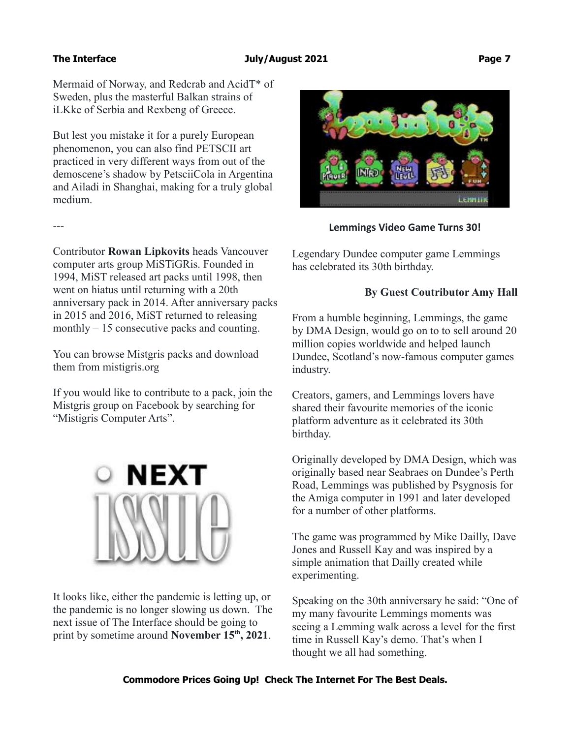Mermaid of Norway, and Redcrab and AcidT\* of Sweden, plus the masterful Balkan strains of iLKke of Serbia and Rexbeng of Greece.

But lest you mistake it for a purely European phenomenon, you can also find PETSCII art practiced in very different ways from out of the demoscene's shadow by PetsciiCola in Argentina and Ailadi in Shanghai, making for a truly global medium.

---

Contributor **Rowan Lipkovits** heads Vancouver computer arts group MiSTiGRis. Founded in 1994, MiST released art packs until 1998, then went on hiatus until returning with a 20th anniversary pack in 2014. After anniversary packs in 2015 and 2016, MiST returned to releasing monthly – 15 consecutive packs and counting.

You can browse Mistgris packs and download them from mistigris.org

If you would like to contribute to a pack, join the Mistgris group on Facebook by searching for "Mistigris Computer Arts".



It looks like, either the pandemic is letting up, or the pandemic is no longer slowing us down. The next issue of The Interface should be going to print by sometime around **November 15th, 2021**.



## **Lemmings Video Game Turns 30!**

Legendary Dundee computer game Lemmings has celebrated its 30th birthday.

## **By Guest Coutributor Amy Hall**

From a humble beginning, Lemmings, the game by DMA Design, would go on to to sell around 20 million copies worldwide and helped launch Dundee, Scotland's now-famous computer games industry.

Creators, gamers, and Lemmings lovers have shared their favourite memories of the iconic platform adventure as it celebrated its 30th birthday.

Originally developed by DMA Design, which was originally based near Seabraes on Dundee's Perth Road, Lemmings was published by Psygnosis for the Amiga computer in 1991 and later developed for a number of other platforms.

The game was programmed by Mike Dailly, Dave Jones and Russell Kay and was inspired by a simple animation that Dailly created while experimenting.

Speaking on the 30th anniversary he said: "One of my many favourite Lemmings moments was seeing a Lemming walk across a level for the first time in Russell Kay's demo. That's when I thought we all had something.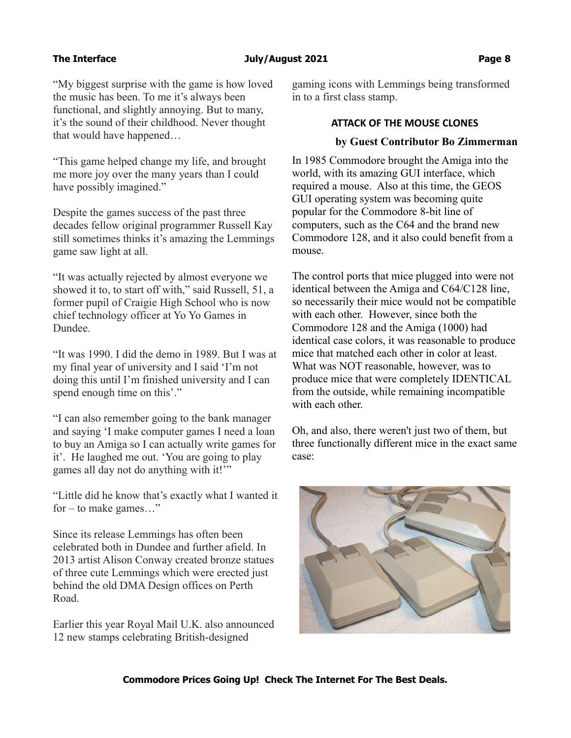"My biggest surprise with the game is how loved the music has been. To me it's always been functional, and slightly annoying. But to many, it's the sound of their childhood. Never thought that would have happened…

"This game helped change my life, and brought me more joy over the many years than I could have possibly imagined."

Despite the games success of the past three decades fellow original programmer Russell Kay still sometimes thinks it's amazing the Lemmings game saw light at all.

"It was actually rejected by almost everyone we showed it to, to start off with," said Russell, 51, a former pupil of Craigie High School who is now chief technology officer at Yo Yo Games in Dundee.

"It was 1990. I did the demo in 1989. But I was at my final year of university and I said 'I'm not doing this until I'm finished university and I can spend enough time on this'."

"I can also remember going to the bank manager and saying 'I make computer games I need a loan to buy an Amiga so I can actually write games for it'. He laughed me out. 'You are going to play games all day not do anything with it!"

"Little did he know that's exactly what I wanted it for – to make games…"

Since its release Lemmings has often been celebrated both in Dundee and further afield. In 2013 artist Alison Conway created bronze statues of three cute Lemmings which were erected just behind the old DMA Design offices on Perth Road.

Earlier this year Royal Mail U.K. also announced 12 new stamps celebrating British-designed

gaming icons with Lemmings being transformed in to a first class stamp.

### **ATTACK OF THE MOUSE CLONES**

### **by Guest Contributor Bo Zimmerman**

In 1985 Commodore brought the Amiga into the world, with its amazing GUI interface, which required a mouse. Also at this time, the GEOS GUI operating system was becoming quite popular for the Commodore 8-bit line of computers, such as the C64 and the brand new Commodore 128, and it also could benefit from a mouse.

The control ports that mice plugged into were not identical between the Amiga and C64/C128 line, so necessarily their mice would not be compatible with each other. However, since both the Commodore 128 and the Amiga (1000) had identical case colors, it was reasonable to produce mice that matched each other in color at least. What was NOT reasonable, however, was to produce mice that were completely IDENTICAL from the outside, while remaining incompatible with each other.

Oh, and also, there weren't just two of them, but three functionally different mice in the exact same case:

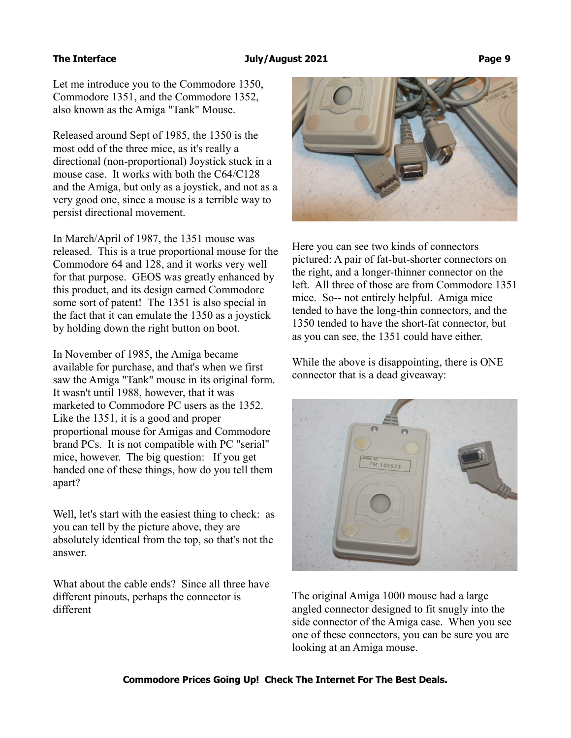### The Interface and Tuly/August 2021 **Page 9**

Let me introduce you to the Commodore 1350, Commodore 1351, and the Commodore 1352, also known as the Amiga "Tank" Mouse.

Released around Sept of 1985, the 1350 is the most odd of the three mice, as it's really a directional (non-proportional) Joystick stuck in a mouse case. It works with both the C64/C128 and the Amiga, but only as a joystick, and not as a very good one, since a mouse is a terrible way to persist directional movement.

In March/April of 1987, the 1351 mouse was released. This is a true proportional mouse for the Commodore 64 and 128, and it works very well for that purpose. GEOS was greatly enhanced by this product, and its design earned Commodore some sort of patent! The 1351 is also special in the fact that it can emulate the 1350 as a joystick by holding down the right button on boot.

In November of 1985, the Amiga became available for purchase, and that's when we first saw the Amiga "Tank" mouse in its original form. It wasn't until 1988, however, that it was marketed to Commodore PC users as the 1352. Like the 1351, it is a good and proper proportional mouse for Amigas and Commodore brand PCs. It is not compatible with PC "serial" mice, however. The big question: If you get handed one of these things, how do you tell them apart?

Well, let's start with the easiest thing to check: as you can tell by the picture above, they are absolutely identical from the top, so that's not the answer.

What about the cable ends? Since all three have different pinouts, perhaps the connector is different



Here you can see two kinds of connectors pictured: A pair of fat-but-shorter connectors on the right, and a longer-thinner connector on the left. All three of those are from Commodore 1351 mice. So-- not entirely helpful. Amiga mice tended to have the long-thin connectors, and the 1350 tended to have the short-fat connector, but as you can see, the 1351 could have either.

While the above is disappointing, there is ONE connector that is a dead giveaway:



The original Amiga 1000 mouse had a large angled connector designed to fit snugly into the side connector of the Amiga case. When you see one of these connectors, you can be sure you are looking at an Amiga mouse.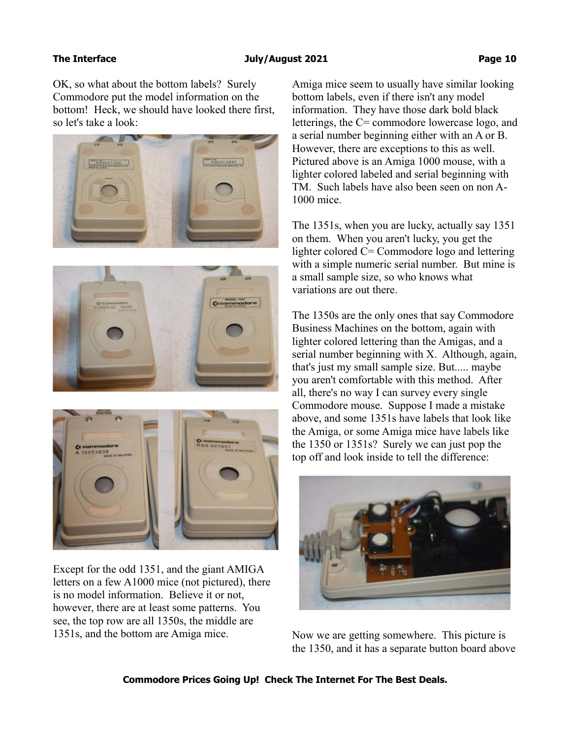### **The Interface The Interface Audio Equation 2021 Page 10**

OK, so what about the bottom labels? Surely Commodore put the model information on the bottom! Heck, we should have looked there first, so let's take a look:







Except for the odd 1351, and the giant AMIGA letters on a few A1000 mice (not pictured), there is no model information. Believe it or not, however, there are at least some patterns. You see, the top row are all 1350s, the middle are 1351s, and the bottom are Amiga mice.

Amiga mice seem to usually have similar looking bottom labels, even if there isn't any model information. They have those dark bold black letterings, the C= commodore lowercase logo, and a serial number beginning either with an A or B. However, there are exceptions to this as well. Pictured above is an Amiga 1000 mouse, with a lighter colored labeled and serial beginning with TM. Such labels have also been seen on non A-1000 mice.

The 1351s, when you are lucky, actually say 1351 on them. When you aren't lucky, you get the lighter colored C= Commodore logo and lettering with a simple numeric serial number. But mine is a small sample size, so who knows what variations are out there.

The 1350s are the only ones that say Commodore Business Machines on the bottom, again with lighter colored lettering than the Amigas, and a serial number beginning with X. Although, again, that's just my small sample size. But..... maybe you aren't comfortable with this method. After all, there's no way I can survey every single Commodore mouse. Suppose I made a mistake above, and some 1351s have labels that look like the Amiga, or some Amiga mice have labels like the 1350 or 1351s? Surely we can just pop the top off and look inside to tell the difference:



Now we are getting somewhere. This picture is the 1350, and it has a separate button board above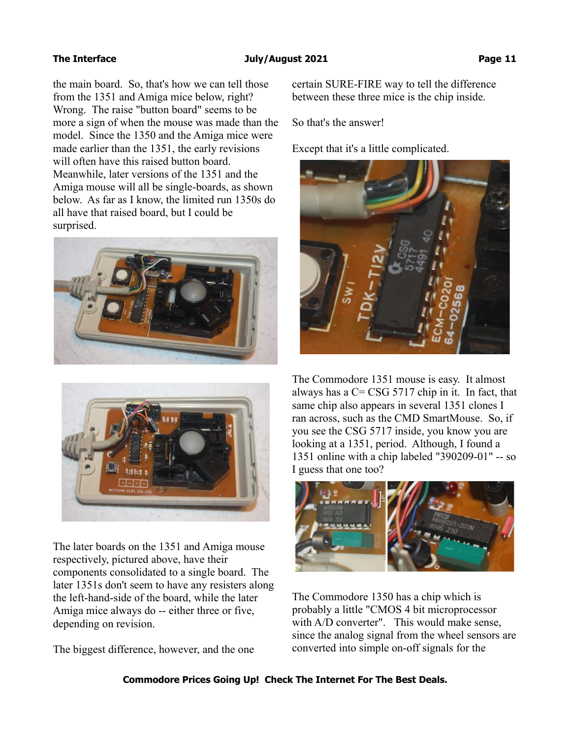the main board. So, that's how we can tell those from the 1351 and Amiga mice below, right? Wrong. The raise "button board" seems to be more a sign of when the mouse was made than the model. Since the 1350 and the Amiga mice were made earlier than the 1351, the early revisions will often have this raised button board. Meanwhile, later versions of the 1351 and the Amiga mouse will all be single-boards, as shown below. As far as I know, the limited run 1350s do all have that raised board, but I could be surprised.





The later boards on the 1351 and Amiga mouse respectively, pictured above, have their components consolidated to a single board. The later 1351s don't seem to have any resisters along the left-hand-side of the board, while the later Amiga mice always do -- either three or five, depending on revision.

The biggest difference, however, and the one

certain SURE-FIRE way to tell the difference between these three mice is the chip inside.

So that's the answer!

Except that it's a little complicated.



The Commodore 1351 mouse is easy. It almost always has a  $C = \text{CSG } 5717$  chip in it. In fact, that same chip also appears in several 1351 clones I ran across, such as the CMD SmartMouse. So, if you see the CSG 5717 inside, you know you are looking at a 1351, period. Although, I found a 1351 online with a chip labeled "390209-01" -- so I guess that one too?



The Commodore 1350 has a chip which is probably a little "CMOS 4 bit microprocessor with A/D converter". This would make sense, since the analog signal from the wheel sensors are converted into simple on-off signals for the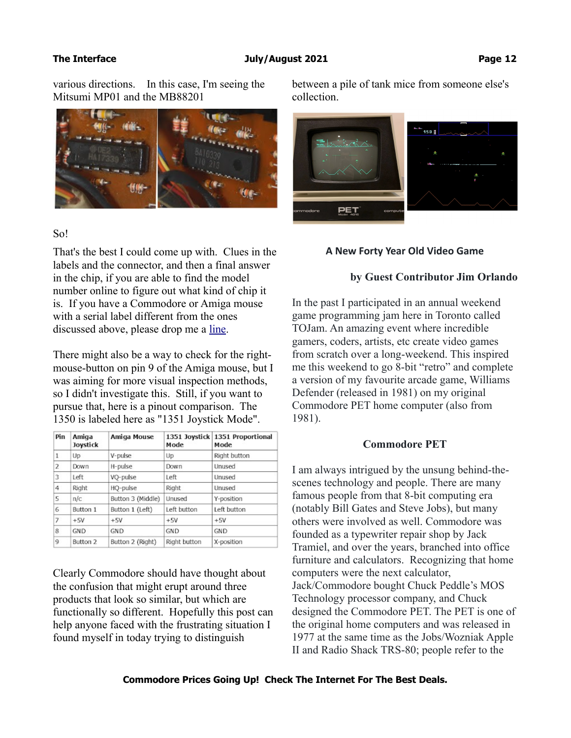various directions. In this case, I'm seeing the Mitsumi MP01 and the MB88201



### So!

That's the best I could come up with. Clues in the labels and the connector, and then a final answer in the chip, if you are able to find the model number online to figure out what kind of chip it is. If you have a Commodore or Amiga mouse with a serial label different from the ones discussed above, please drop me a [line.](http://www.zimmers.net/email/form-page.html)

There might also be a way to check for the rightmouse-button on pin 9 of the Amiga mouse, but I was aiming for more visual inspection methods, so I didn't investigate this. Still, if you want to pursue that, here is a pinout comparison. The 1350 is labeled here as "1351 Joystick Mode".

| Pin            | Amiga<br>Joystick | Amiga Mouse       | Mode         | 1351 Joystick 1351 Proportional<br>Mode |
|----------------|-------------------|-------------------|--------------|-----------------------------------------|
| 1              | Up                | V-pulse           | Up           | Right button                            |
| $\overline{2}$ | Down              | H-pulse           | Down         | Unused                                  |
| 3              | Left              | VO-pulse          | Left         | Unused                                  |
| 4              | Right             | HQ-pulse          | Right        | Unused                                  |
| 5              | n/c               | Button 3 (Middle) | Unused       | Y-position                              |
| 6              | Button 1          | Button 1 (Left)   | Left button  | Left button                             |
| 7              | $+5V$             | $+5V$             | $+5V$        | $+5V$                                   |
| 8              | <b>GND</b>        | GND               | GND          | <b>GND</b>                              |
| $\mathbf{Q}$   | Button 2          | Button 2 (Right)  | Right button | X-position                              |

Clearly Commodore should have thought about the confusion that might erupt around three products that look so similar, but which are functionally so different. Hopefully this post can help anyone faced with the frustrating situation I found myself in today trying to distinguish

between a pile of tank mice from someone else's collection.



### **A New Forty Year Old Video Game**

### **by Guest Contributor Jim Orlando**

In the past I participated in an annual weekend game programming jam here in Toronto called TOJam. An amazing event where incredible gamers, coders, artists, etc create video games from scratch over a long-weekend. This inspired me this weekend to go 8-bit "retro" and complete a version of my favourite arcade game, Williams Defender (released in 1981) on my original Commodore PET home computer (also from 1981).

### **Commodore PET**

I am always intrigued by the unsung behind-thescenes technology and people. There are many famous people from that 8-bit computing era (notably Bill Gates and Steve Jobs), but many others were involved as well. Commodore was founded as a typewriter repair shop by Jack Tramiel, and over the years, branched into office furniture and calculators. Recognizing that home computers were the next calculator, Jack/Commodore bought Chuck Peddle's MOS Technology processor company, and Chuck designed the Commodore PET. The PET is one of the original home computers and was released in 1977 at the same time as the Jobs/Wozniak Apple II and Radio Shack TRS-80; people refer to the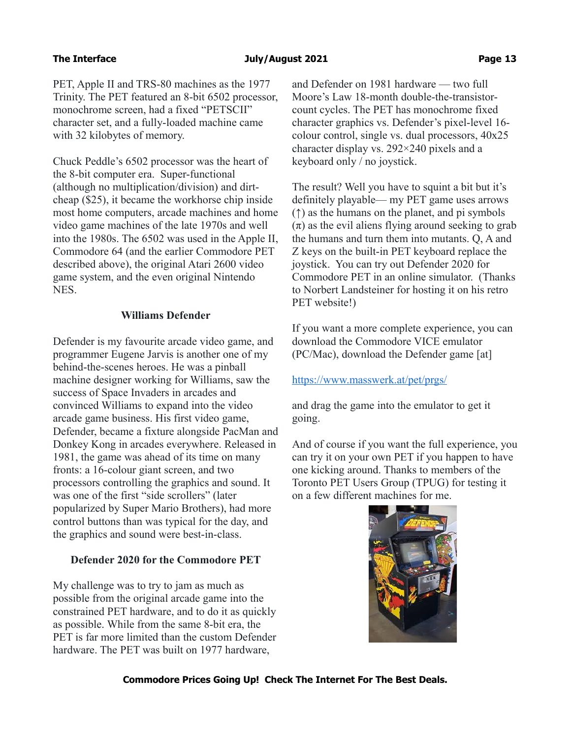### **The Interface The Interface Control Control and August 2021 Page 13 Page 13**

PET, Apple II and TRS-80 machines as the 1977 Trinity. The PET featured an 8-bit 6502 processor, monochrome screen, had a fixed "PETSCII" character set, and a fully-loaded machine came with 32 kilobytes of memory.

Chuck Peddle's 6502 processor was the heart of the 8-bit computer era. Super-functional (although no multiplication/division) and dirtcheap (\$25), it became the workhorse chip inside most home computers, arcade machines and home video game machines of the late 1970s and well into the 1980s. The 6502 was used in the Apple II, Commodore 64 (and the earlier Commodore PET described above), the original Atari 2600 video game system, and the even original Nintendo NES.

## **Williams Defender**

Defender is my favourite arcade video game, and programmer Eugene Jarvis is another one of my behind-the-scenes heroes. He was a pinball machine designer working for Williams, saw the success of Space Invaders in arcades and convinced Williams to expand into the video arcade game business. His first video game, Defender, became a fixture alongside PacMan and Donkey Kong in arcades everywhere. Released in 1981, the game was ahead of its time on many fronts: a 16-colour giant screen, and two processors controlling the graphics and sound. It was one of the first "side scrollers" (later popularized by Super Mario Brothers), had more control buttons than was typical for the day, and the graphics and sound were best-in-class.

## **Defender 2020 for the Commodore PET**

My challenge was to try to jam as much as possible from the original arcade game into the constrained PET hardware, and to do it as quickly as possible. While from the same 8-bit era, the PET is far more limited than the custom Defender hardware. The PET was built on 1977 hardware,

and Defender on 1981 hardware — two full Moore's Law 18-month double-the-transistorcount cycles. The PET has monochrome fixed character graphics vs. Defender's pixel-level 16 colour control, single vs. dual processors, 40x25 character display vs. 292×240 pixels and a keyboard only / no joystick.

The result? Well you have to squint a bit but it's definitely playable— my PET game uses arrows (↑) as the humans on the planet, and pi symbols  $(\pi)$  as the evil aliens flying around seeking to grab the humans and turn them into mutants. Q, A and Z keys on the built-in PET keyboard replace the joystick. You can try out Defender 2020 for Commodore PET in an online simulator. (Thanks to Norbert Landsteiner for hosting it on his retro PET website!)

If you want a more complete experience, you can download the Commodore VICE emulator (PC/Mac), download the Defender game [at]

## <https://www.masswerk.at/pet/prgs/>

and drag the game into the emulator to get it going.

And of course if you want the full experience, you can try it on your own PET if you happen to have one kicking around. Thanks to members of the Toronto PET Users Group (TPUG) for testing it on a few different machines for me.

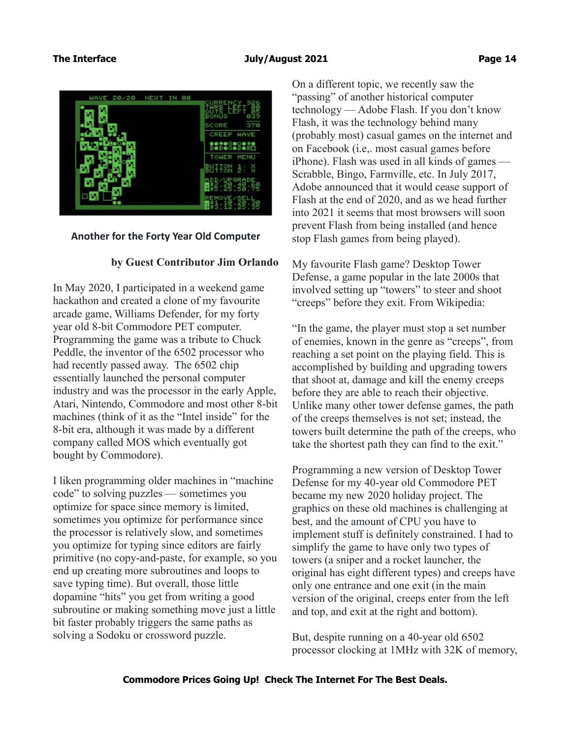

### **Another for the Forty Year Old Computer**

### **by Guest Contributor Jim Orlando**

In May 2020, I participated in a weekend game hackathon and created a clone of my favourite arcade game, Williams Defender, for my forty year old 8-bit Commodore PET computer. Programming the game was a tribute to Chuck Peddle, the inventor of the 6502 processor who had recently passed away. The 6502 chip essentially launched the personal computer industry and was the processor in the early Apple, Atari, Nintendo, Commodore and most other 8-bit machines (think of it as the "Intel inside" for the 8-bit era, although it was made by a different company called MOS which eventually got bought by Commodore).

I liken programming older machines in "machine code" to solving puzzles — sometimes you optimize for space since memory is limited, sometimes you optimize for performance since the processor is relatively slow, and sometimes you optimize for typing since editors are fairly primitive (no copy-and-paste, for example, so you end up creating more subroutines and loops to save typing time). But overall, those little dopamine "hits" you get from writing a good subroutine or making something move just a little bit faster probably triggers the same paths as solving a Sodoku or crossword puzzle.

On a different topic, we recently saw the "passing" of another historical computer technology — Adobe Flash. If you don't know Flash, it was the technology behind many (probably most) casual games on the internet and on Facebook (i.e,. most casual games before iPhone). Flash was used in all kinds of games — Scrabble, Bingo, Farmville, etc. In July 2017, Adobe announced that it would cease support of Flash at the end of 2020, and as we head further into 2021 it seems that most browsers will soon prevent Flash from being installed (and hence stop Flash games from being played).

My favourite Flash game? Desktop Tower Defense, a game popular in the late 2000s that involved setting up "towers" to steer and shoot "creeps" before they exit. From Wikipedia:

"In the game, the player must stop a set number of enemies, known in the genre as "creeps", from reaching a set point on the playing field. This is accomplished by building and upgrading towers that shoot at, damage and kill the enemy creeps before they are able to reach their objective. Unlike many other tower defense games, the path of the creeps themselves is not set; instead, the towers built determine the path of the creeps, who take the shortest path they can find to the exit."

Programming a new version of Desktop Tower Defense for my 40-year old Commodore PET became my new 2020 holiday project. The graphics on these old machines is challenging at best, and the amount of CPU you have to implement stuff is definitely constrained. I had to simplify the game to have only two types of towers (a sniper and a rocket launcher, the original has eight different types) and creeps have only one entrance and one exit (in the main version of the original, creeps enter from the left and top, and exit at the right and bottom).

But, despite running on a 40-year old 6502 processor clocking at 1MHz with 32K of memory,